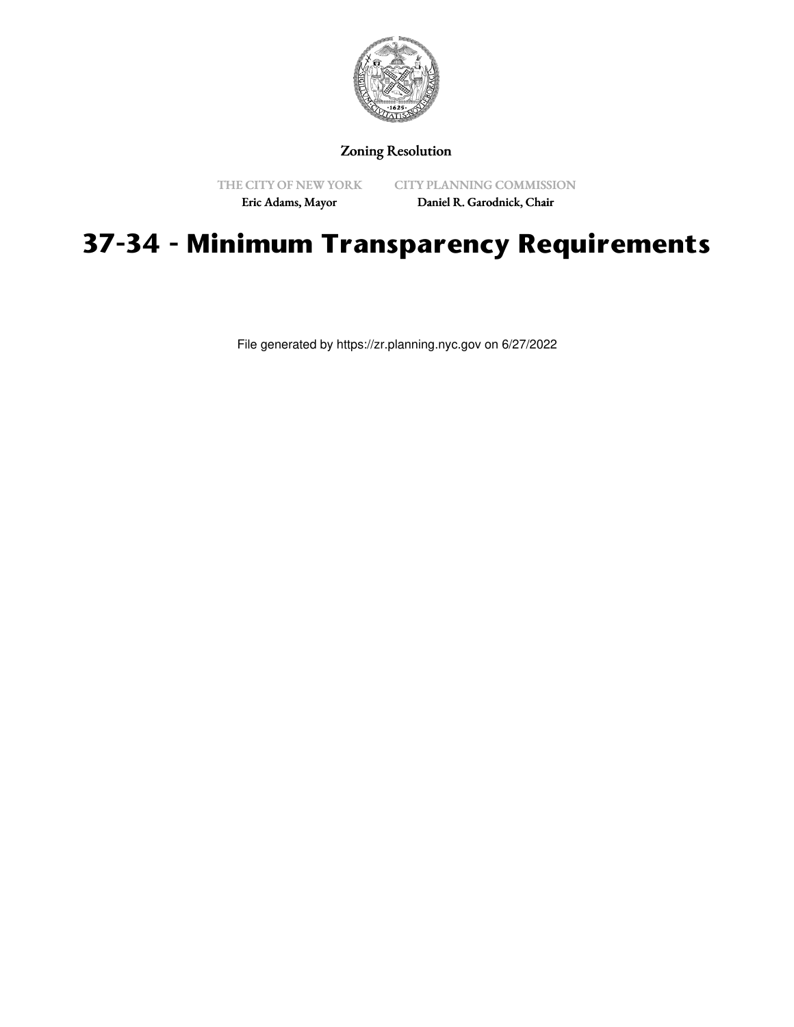

## Zoning Resolution

THE CITY OF NEW YORK Eric Adams, Mayor

CITY PLANNING COMMISSION Daniel R. Garodnick, Chair

## **37-34 - Minimum Transparency Requirements**

File generated by https://zr.planning.nyc.gov on 6/27/2022